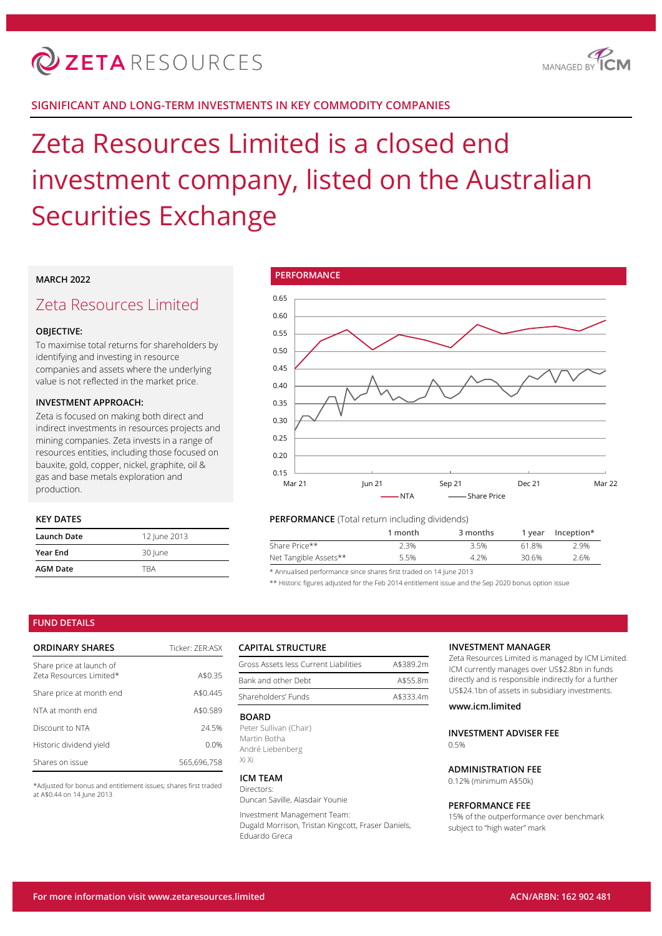

# **SIGNIFICANT AND LONG-TERM INVESTMENTS IN KEY COMMODITY COMPANIES**

# Zeta Resources Limited is a closed end investment company, listed on the Australian Securities Exchange

# **MARCH 2022**

# Zeta Resources Limited

## **OBJECTIVE:**

To maximise total returns for shareholders by identifying and investing in resource companies and assets where the underlying value is not reflected in the market price.

#### **INVESTMENT APPROACH:**

Zeta is focused on making both direct and indirect investments in resources projects and mining companies. Zeta invests in a range of resources entities, including those focused on bauxite, gold, copper, nickel, graphite, oil & gas and base metals exploration and production.

## **KEY DATES**

| Launch Date     | 12 June 2013 |
|-----------------|--------------|
| <b>Year End</b> | 30 June      |
| <b>AGM Date</b> | TRA          |



## **PERFORMANCE** (Total return including dividends)

|                       | 1 month | 3 months | 1 vear | Inception* |
|-----------------------|---------|----------|--------|------------|
| Share Price**         | 2.3%    | 3.5%     | 61.8%  | 2.9%       |
| Net Tangible Assets** | 5.5%    | 4.2%     | 30.6%  | 2.6%       |

\* Annualised performance since shares first traded on 14 June 2013

\*\* Historic figures adjusted for the Feb 2014 entitlement issue and the Sep 2020 bonus option issue

#### **FUND DETAILS**

| <b>ORDINARY SHARES</b>                              | Ticker: 7FR:ASX |
|-----------------------------------------------------|-----------------|
| Share price at launch of<br>Zeta Resources Limited* | A\$0.35         |
| Share price at month end                            | A\$0.445        |
| NTA at month end                                    | A\$0.589        |
| Discount to NTA                                     | 24.5%           |
| Historic dividend yield                             | $0.0\%$         |
| Shares on issue                                     | 565.696.758     |

\*Adjusted for bonus and entitlement issues; shares first traded at A\$0.44 on 14 June 2013

#### **CAPITAL STRUCTURE**

| Gross Assets less Current Liabilities | A\$389.2m |
|---------------------------------------|-----------|
| Bank and other Debt                   | A\$55.8m  |
| Shareholders' Funds                   | A\$333.4m |

#### **BOARD**

Peter Sullivan (Chair) Martin Botha André Liebenberg Xi Xi

#### **ICM TEAM**

Directors: Duncan Saville, Alasdair Younie

Investment Management Team:

Dugald Morrison, Tristan Kingcott, Fraser Daniels, Eduardo Greca

#### **INVESTMENT MANAGER**

Zeta Resources Limited is managed by ICM Limited. ICM currently manages over US\$2.8bn in funds directly and is responsible indirectly for a further US\$24.1bn of assets in subsidiary investments.

## **www.icm.limited**

**INVESTMENT ADVISER FEE**  $0.5%$ 

# **ADMINISTRATION FEE**

0.12% (minimum A\$50k)

#### **PERFORMANCE FEE**

15% of the outperformance over benchmark subject to "high water" mark